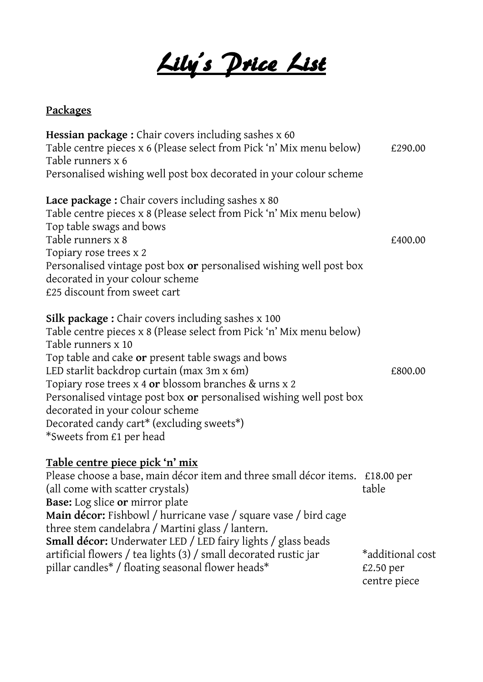Lily's Price List

## **Packages**

| Hessian package: Chair covers including sashes x 60                                              |                  |
|--------------------------------------------------------------------------------------------------|------------------|
| Table centre pieces x 6 (Please select from Pick 'n' Mix menu below)                             | £290.00          |
| Table runners x 6                                                                                |                  |
| Personalised wishing well post box decorated in your colour scheme                               |                  |
| Lace package: Chair covers including sashes x 80                                                 |                  |
| Table centre pieces x 8 (Please select from Pick 'n' Mix menu below)<br>Top table swags and bows |                  |
| Table runners x 8                                                                                | £400.00          |
| Topiary rose trees x 2                                                                           |                  |
| Personalised vintage post box or personalised wishing well post box                              |                  |
| decorated in your colour scheme                                                                  |                  |
| £25 discount from sweet cart                                                                     |                  |
| <b>Silk package:</b> Chair covers including sashes x 100                                         |                  |
| Table centre pieces x 8 (Please select from Pick 'n' Mix menu below)                             |                  |
| Table runners x 10                                                                               |                  |
| Top table and cake or present table swags and bows                                               |                  |
| LED starlit backdrop curtain (max 3m x 6m)                                                       | £800.00          |
| Topiary rose trees x 4 or blossom branches & urns x 2                                            |                  |
| Personalised vintage post box or personalised wishing well post box                              |                  |
| decorated in your colour scheme                                                                  |                  |
| Decorated candy cart* (excluding sweets*)                                                        |                  |
| *Sweets from £1 per head                                                                         |                  |
| <u>Table centre piece pick 'n' mix</u>                                                           |                  |
| Please choose a base, main décor item and three small décor items. £18.00 per                    |                  |
| (all come with scatter crystals)                                                                 | table            |
| <b>Base:</b> Log slice or mirror plate                                                           |                  |
| Main décor: Fishbowl / hurricane vase / square vase / bird cage                                  |                  |
| three stem candelabra / Martini glass / lantern.                                                 |                  |
| <b>Small décor:</b> Underwater LED / LED fairy lights / glass beads                              |                  |
| artificial flowers / tea lights (3) / small decorated rustic jar                                 | *additional cost |
| pillar candles* / floating seasonal flower heads*                                                | £2.50 per        |
|                                                                                                  | centre piece     |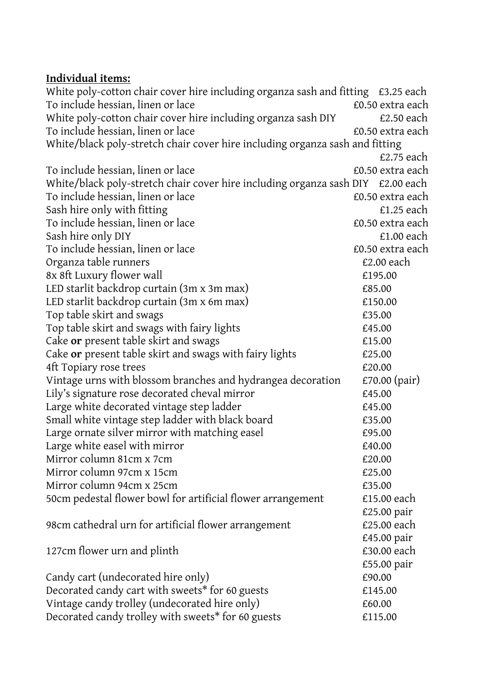## **Individual items:**

White poly-cotton chair cover hire including organza sash and fitting £3.25 each To include hessian, linen or lace  $\qquad \qquad \text{E0.50 extra each}$ White poly-cotton chair cover hire including organza sash DIY E2.50 each To include hessian, linen or lace E0.50 extra each White/black poly-stretch chair cover hire including organza sash and fitting £2.75 each To include hessian, linen or lace  $\qquad \qquad \text{E0.50 extra each}$ White/black poly-stretch chair cover hire including organza sash DIY £2.00 each To include hessian, linen or lace  $\qquad \qquad \text{E0.50 extra each}$ Sash hire only with fitting  $\epsilon$ 1.25 each To include hessian, linen or lace  $\qquad \qquad \text{E0.50 extra each}$ Sash hire only DIY E1.00 each To include hessian, linen or lace E0.50 extra each Organza table runners **E2.00** each 8x 8ft Luxury flower wall  $\epsilon$  195.00 LED starlit backdrop curtain (3m x 3m max) E85.00 LED starlit backdrop curtain (3m x 6m max) E150.00 Top table skirt and swags **EXECUTE 1** and swags **EXECUTE 1** and swags **EXECUTE 1** and  $\overline{E}$ Top table skirt and swags with fairy lights **E**45.00 Cake **or** present table skirt and swags  $\qquad 15.00$ Cake or present table skirt and swags with fairy lights  $£25.00$ 4ft Topiary rose trees  $£20.00$ Vintage urns with blossom branches and hydrangea decoration  $E70.00$  (pair) Lily's signature rose decorated cheval mirror E45.00 Large white decorated vintage step ladder  $£45.00$ Small white vintage step ladder with black board E35.00 Large ornate silver mirror with matching easel E95.00 Large white easel with mirror  $£40.00$ Mirror column 81cm x 7cm *E20.00* Mirror column 97cm x 15cm **E25.00** Mirror column 94cm x 25cm **E35.00** 50cm pedestal flower bowl for artificial flower arrangement £15.00 each £25.00 pair 98cm cathedral urn for artificial flower arrangement E25.00 each £45.00 pair 127cm flower urn and plinth **E30.00** each £55.00 pair Candy cart (undecorated hire only) E90.00 Decorated candy cart with sweets<sup>\*</sup> for 60 guests  $£145.00$ Vintage candy trolley (undecorated hire only) E60.00 Decorated candy trolley with sweets\* for 60 guests £115.00